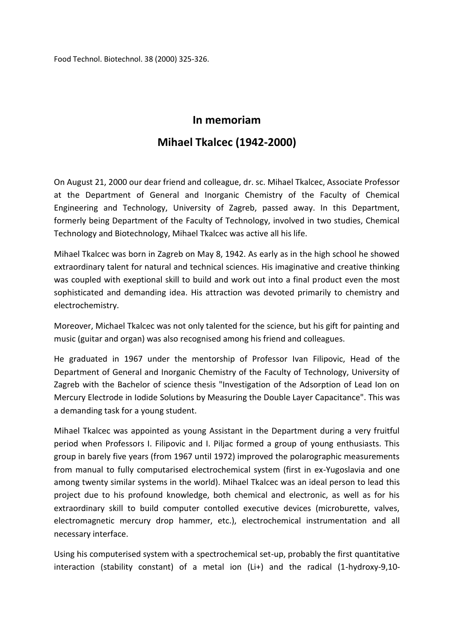Food Technol. Biotechnol. 38 (2000) 325-326.

## **In memoriam Mihael Tkalcec (1942-2000)**

On August 21, 2000 our dear friend and colleague, dr. sc. Mihael Tkalcec, Associate Professor at the Department of General and Inorganic Chemistry of the Faculty of Chemical Engineering and Technology, University of Zagreb, passed away. In this Department, formerly being Department of the Faculty of Technology, involved in two studies, Chemical Technology and Biotechnology, Mihael Tkalcec was active all his life.

Mihael Tkalcec was born in Zagreb on May 8, 1942. As early as in the high school he showed extraordinary talent for natural and technical sciences. His imaginative and creative thinking was coupled with exeptional skill to build and work out into a final product even the most sophisticated and demanding idea. His attraction was devoted primarily to chemistry and electrochemistry.

Moreover, Michael Tkalcec was not only talented for the science, but his gift for painting and music (guitar and organ) was also recognised among his friend and colleagues.

He graduated in 1967 under the mentorship of Professor Ivan Filipovic, Head of the Department of General and Inorganic Chemistry of the Faculty of Technology, University of Zagreb with the Bachelor of science thesis "Investigation of the Adsorption of Lead Ion on Mercury Electrode in Iodide Solutions by Measuring the Double Layer Capacitance". This was a demanding task for a young student.

Mihael Tkalcec was appointed as young Assistant in the Department during a very fruitful period when Professors I. Filipovic and I. Piljac formed a group of young enthusiasts. This group in barely five years (from 1967 until 1972) improved the polarographic measurements from manual to fully computarised electrochemical system (first in ex-Yugoslavia and one among twenty similar systems in the world). Mihael Tkalcec was an ideal person to lead this project due to his profound knowledge, both chemical and electronic, as well as for his extraordinary skill to build computer contolled executive devices (microburette, valves, electromagnetic mercury drop hammer, etc.), electrochemical instrumentation and all necessary interface.

Using his computerised system with a spectrochemical set-up, probably the first quantitative interaction (stability constant) of a metal ion (Li+) and the radical (1-hydroxy-9,10